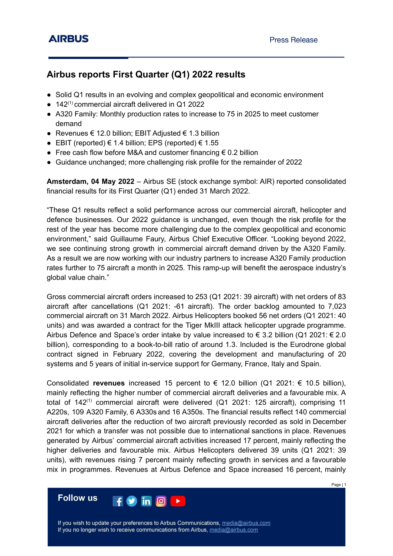# **Airbus reports First Quarter (Q1) 2022 results**

- Solid Q1 results in an evolving and complex geopolitical and economic environment
- $\bullet$  142<sup>(1)</sup> commercial aircraft delivered in Q1 2022
- A320 Family: Monthly production rates to increase to 75 in 2025 to meet customer demand
- Revenues € 12.0 billion; EBIT Adjusted  $∈$  1.3 billion
- EBIT (reported)  $€ 1.4$  billion; EPS (reported)  $€ 1.55$
- Free cash flow before M&A and customer financing  $\epsilon$  0.2 billion
- Guidance unchanged; more challenging risk profile for the remainder of 2022

**Amsterdam, 04 May 2022** – Airbus SE (stock exchange symbol: AIR) reported consolidated financial results for its First Quarter (Q1) ended 31 March 2022.

"These Q1 results reflect a solid performance across our commercial aircraft, helicopter and defence businesses. Our 2022 guidance is unchanged, even though the risk profile for the rest of the year has become more challenging due to the complex geopolitical and economic environment," said Guillaume Faury, Airbus Chief Executive Officer. "Looking beyond 2022, we see continuing strong growth in commercial aircraft demand driven by the A320 Family. As a result we are now working with our industry partners to increase A320 Family production rates further to 75 aircraft a month in 2025. This ramp-up will benefit the aerospace industry's global value chain."

Gross commercial aircraft orders increased to 253 (Q1 2021: 39 aircraft) with net orders of 83 aircraft after cancellations (Q1 2021: -61 aircraft). The order backlog amounted to 7,023 commercial aircraft on 31 March 2022. Airbus Helicopters booked 56 net orders (Q1 2021: 40 units) and was awarded a contract for the Tiger MkIII attack helicopter upgrade programme. Airbus Defence and Space's order intake by value increased to  $\epsilon$  3.2 billion (Q1 2021:  $\epsilon$  2.0 billion), corresponding to a book-to-bill ratio of around 1.3. Included is the Eurodrone global contract signed in February 2022, covering the development and manufacturing of 20 systems and 5 years of initial in-service support for Germany, France, Italy and Spain.

Consolidated **revenues** increased 15 percent to  $\epsilon$  12.0 billion (Q1 2021:  $\epsilon$  10.5 billion), mainly reflecting the higher number of commercial aircraft deliveries and a favourable mix. A total of 142<sup>(1)</sup> commercial aircraft were delivered (Q1 2021: 125 aircraft), comprising 11 A220s, 109 A320 Family, 6 A330s and 16 A350s. The financial results reflect 140 commercial aircraft deliveries after the reduction of two aircraft previously recorded as sold in December 2021 for which a transfer was not possible due to international sanctions in place. Revenues generated by Airbus' commercial aircraft activities increased 17 percent, mainly reflecting the higher deliveries and favourable mix. Airbus Helicopters delivered 39 units (Q1 2021: 39 units), with revenues rising 7 percent mainly reflecting growth in services and a favourable mix in programmes. Revenues at Airbus Defence and Space increased 16 percent, mainly

**Follow us** 

If you wish to update your preferences to Airbus Communications, media@airbus.com If you no longer wish to receive communications from Airbus, media@airbus.com

**in**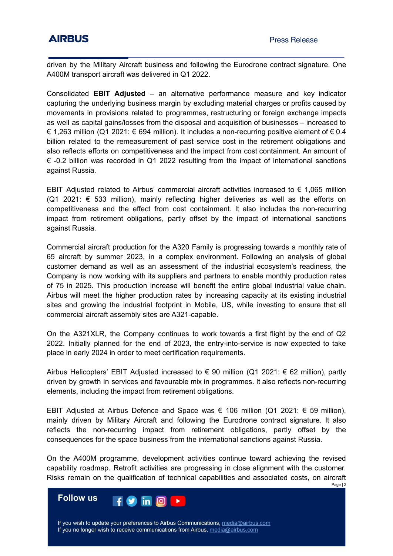driven by the Military Aircraft business and following the Eurodrone contract signature. One A400M transport aircraft was delivered in Q1 2022.

Consolidated **EBIT Adjusted** – an alternative performance measure and key indicator capturing the underlying business margin by excluding material charges or profits caused by movements in provisions related to programmes, restructuring or foreign exchange impacts as well as capital gains/losses from the disposal and acquisition of businesses – increased to € 1,263 million (Q1 2021: € 694 million). It includes a non-recurring positive element of € 0.4 billion related to the remeasurement of past service cost in the retirement obligations and also reflects efforts on competitiveness and the impact from cost containment. An amount of  $\epsilon$  -0.2 billion was recorded in Q1 2022 resulting from the impact of international sanctions against Russia.

EBIT Adjusted related to Airbus' commercial aircraft activities increased to  $\epsilon$  1,065 million (Q1 2021:  $\epsilon$  533 million), mainly reflecting higher deliveries as well as the efforts on competitiveness and the effect from cost containment. It also includes the non-recurring impact from retirement obligations, partly offset by the impact of international sanctions against Russia.

Commercial aircraft production for the A320 Family is progressing towards a monthly rate of 65 aircraft by summer 2023, in a complex environment. Following an analysis of global customer demand as well as an assessment of the industrial ecosystem's readiness, the Company is now working with its suppliers and partners to enable monthly production rates of 75 in 2025. This production increase will benefit the entire global industrial value chain. Airbus will meet the higher production rates by increasing capacity at its existing industrial sites and growing the industrial footprint in Mobile, US, while investing to ensure that all commercial aircraft assembly sites are A321-capable.

On the A321XLR, the Company continues to work towards a first flight by the end of Q2 2022. Initially planned for the end of 2023, the entry-into-service is now expected to take place in early 2024 in order to meet certification requirements.

Airbus Helicopters' EBIT Adjusted increased to  $\epsilon$  90 million (Q1 2021:  $\epsilon$  62 million), partly driven by growth in services and favourable mix in programmes. It also reflects non-recurring elements, including the impact from retirement obligations.

EBIT Adjusted at Airbus Defence and Space was € 106 million (Q1 2021: € 59 million), mainly driven by Military Aircraft and following the Eurodrone contract signature. It also reflects the non-recurring impact from retirement obligations, partly offset by the consequences for the space business from the international sanctions against Russia.

On the A400M programme, development activities continue toward achieving the revised capability roadmap. Retrofit activities are progressing in close alignment with the customer. Risks remain on the qualification of technical capabilities and associated costs, on aircraft Page | 2



If you wish to update your preferences to Airbus Communications, media@airbus.com If you no longer wish to receive communications from Airbus, media@airbus.com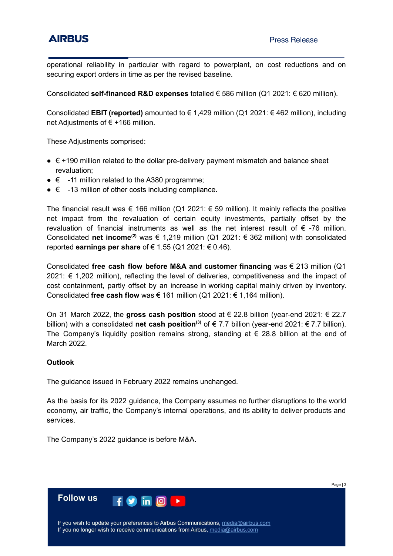operational reliability in particular with regard to powerplant, on cost reductions and on securing export orders in time as per the revised baseline.

Consolidated **self-financed R&D expenses** totalled € 586 million (Q1 2021: € 620 million).

Consolidated **EBIT (reported)** amounted to € 1,429 million (Q1 2021: € 462 million), including net Adiustments of € +166 million.

These Adjustments comprised:

- $\bullet$   $\epsilon$  +190 million related to the dollar pre-delivery payment mismatch and balance sheet revaluation;
- $\bullet \in$  -11 million related to the A380 programme;
- $\bullet \in$  -13 million of other costs including compliance.

The financial result was  $\epsilon$  166 million (Q1 2021:  $\epsilon$  59 million). It mainly reflects the positive net impact from the revaluation of certain equity investments, partially offset by the revaluation of financial instruments as well as the net interest result of  $\epsilon$  -76 million. Consolidated net income<sup>(2)</sup> was € 1,219 million (Q1 2021: € 362 million) with consolidated reported **earnings per share** of € 1.55 (Q1 2021: € 0.46).

Consolidated **free cash flow before M&A and customer financing** was € 213 million (Q1 2021: € 1,202 million), reflecting the level of deliveries, competitiveness and the impact of cost containment, partly offset by an increase in working capital mainly driven by inventory. Consolidated **free cash flow** was € 161 million (Q1 2021: € 1,164 million).

On 31 March 2022, the **gross cash position** stood at € 22.8 billion (year-end 2021: € 22.7 billion) with a consolidated **net cash position**<sup>(3)</sup> of € 7.7 billion (year-end 2021: € 7.7 billion). The Company's liquidity position remains strong, standing at  $\epsilon$  28.8 billion at the end of March 2022.

### **Outlook**

The guidance issued in February 2022 remains unchanged.

As the basis for its 2022 guidance, the Company assumes no further disruptions to the world economy, air traffic, the Company's internal operations, and its ability to deliver products and services.

The Company's 2022 guidance is before M&A.

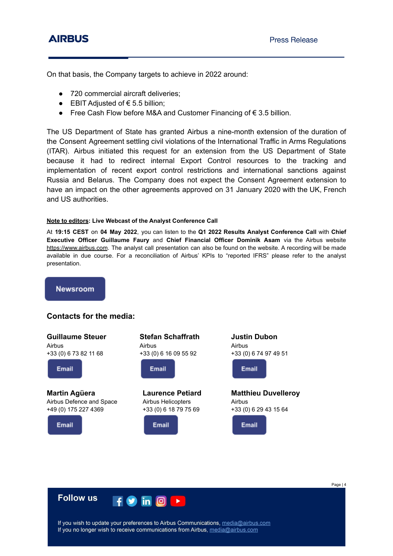On that basis, the Company targets to achieve in 2022 around:

- 720 commercial aircraft deliveries;
- EBIT Adjusted of  $€ 5.5$  billion;
- $\bullet$  Free Cash Flow before M&A and Customer Financing of € 3.5 billion.

The US Department of State has granted Airbus a nine-month extension of the duration of the Consent Agreement settling civil violations of the International Traffic in Arms Regulations (ITAR). Airbus initiated this request for an extension from the US Department of State because it had to redirect internal Export Control resources to the tracking and implementation of recent export control restrictions and international sanctions against Russia and Belarus. The Company does not expect the Consent Agreement extension to have an impact on the other agreements approved on 31 January 2020 with the UK, French and US authorities.

### **Note to editors: Live Webcast of the Analyst Conference Call**

At **19:15 CEST** on **04 May 2022**, you can listen to the **Q1 2022 Results Analyst Conference Call** with **Chief Executive Officer Guillaume Faury** and **Chief Financial Officer Dominik Asam** via the Airbus website <https://www.airbus.com>. The analyst call presentation can also be found on the website. A recording will be made available in due course. For a reconciliation of Airbus' KPIs to "reported IFRS" please refer to the analyst presentation.

**Newsroom** 

## **Contacts for the media:**

**Guillaume Steuer** Airbus +33 (0) 6 73 82 11 68

Email

**Martin Agüera** Airbus Defence and Space +49 (0) 175 227 4369

Email

| <b>Stefan Schaffrath</b> |
|--------------------------|
| Airbus                   |
| +33 (0) 6 16 09 55 92    |



**Laurence Petiard** Airbus Helicopters +33 (0) 6 18 79 75 69



**Justin Dubon** Airbus +33 (0) 6 74 97 49 51

Email

**Matthieu Duvelleroy** Airbus +33 (0) 6 29 43 15 64

Email



If you wish to update your preferences to Airbus Communications, media@airbus.com If you no longer wish to receive communications from Airbus, media@airbus.com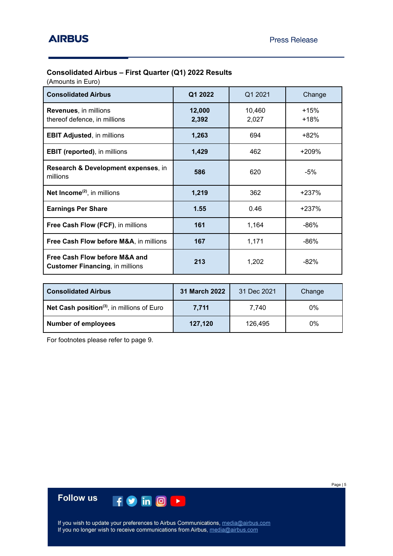### **Consolidated Airbus – First Quarter (Q1) 2022 Results**

(Amounts in Euro)

| <b>Consolidated Airbus</b>                                              | Q1 2022         | Q1 2021         | Change         |
|-------------------------------------------------------------------------|-----------------|-----------------|----------------|
| <b>Revenues, in millions</b><br>thereof defence, in millions            | 12,000<br>2,392 | 10,460<br>2,027 | $+15%$<br>+18% |
| <b>EBIT Adjusted, in millions</b>                                       | 1,263           | 694             | +82%           |
| <b>EBIT (reported), in millions</b>                                     | 1,429           | 462             | +209%          |
| Research & Development expenses, in<br>millions                         | 586             | 620             | -5%            |
| Net Income <sup>(2)</sup> , in millions                                 | 1,219           | 362             | +237%          |
| <b>Earnings Per Share</b>                                               | 1.55            | 0.46            | $+237%$        |
| Free Cash Flow (FCF), in millions                                       | 161             | 1,164           | -86%           |
| Free Cash Flow before M&A, in millions                                  | 167             | 1,171           | -86%           |
| Free Cash Flow before M&A and<br><b>Customer Financing, in millions</b> | 213             | 1,202           | -82%           |

| <b>Consolidated Airbus</b>                             | 31 March 2022 | 31 Dec 2021 | Change |
|--------------------------------------------------------|---------------|-------------|--------|
| Net Cash position <sup>(3)</sup> , in millions of Euro | 7.711         | 7.740       | 0%     |
| <b>Number of employees</b>                             | 127,120       | 126.495     | 0%     |

For footnotes please refer to page 9.

**Follow us**  $f$  o in  $\circ$   $\rightarrow$ 

If you wish to update your preferences to Airbus Communications, media@airbus.com<br>If you no longer wish to receive communications from Airbus, media@airbus.com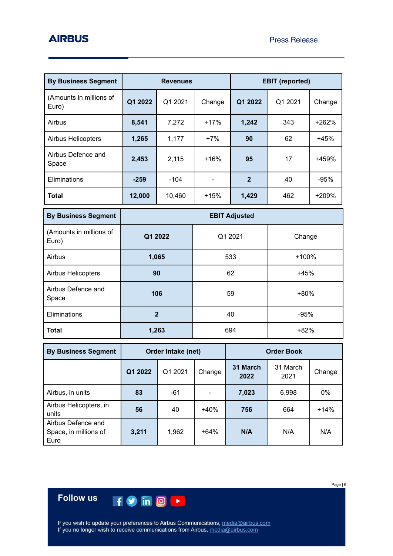| <b>By Business Segment</b>       | <b>Revenues</b> |         |        |                |         | <b>EBIT</b> (reported) |  |
|----------------------------------|-----------------|---------|--------|----------------|---------|------------------------|--|
| (Amounts in millions of<br>Euro) | Q1 2022         | Q1 2021 | Change | Q1 2022        | Q1 2021 | Change                 |  |
| Airbus                           | 8,541           | 7,272   | $+17%$ | 1,242          | 343     | $+262%$                |  |
| <b>Airbus Helicopters</b>        | 1,265           | 1,177   | $+7%$  | 90             | 62      | $+45%$                 |  |
| Airbus Defence and<br>Space      | 2,453           | 2,115   | $+16%$ | 95             | 17      | +459%                  |  |
| Eliminations                     | $-259$          | $-104$  |        | $\overline{2}$ | 40      | $-95%$                 |  |
| Total                            | 12,000          | 10,460  | $+15%$ | 1,429          | 462     | +209%                  |  |

| <b>By Business Segment</b>       | <b>EBIT Adjusted</b> |         |         |  |  |
|----------------------------------|----------------------|---------|---------|--|--|
| (Amounts in millions of<br>Euro) | Q1 2022              | Q1 2021 | Change  |  |  |
| Airbus                           | 1,065                | 533     | $+100%$ |  |  |
| <b>Airbus Helicopters</b>        | 90                   | 62      | $+45%$  |  |  |
| Airbus Defence and<br>Space      | 106                  | 59      | $+80%$  |  |  |
| Eliminations                     | $\mathbf{2}$         | 40      | $-95%$  |  |  |
| <b>Total</b>                     | 1,263                | 694     | $+82%$  |  |  |

| <b>By Business Segment</b>                          | Order Intake (net) |         |        |                  | <b>Order Book</b> |        |
|-----------------------------------------------------|--------------------|---------|--------|------------------|-------------------|--------|
|                                                     | Q1 2022            | Q1 2021 | Change | 31 March<br>2022 | 31 March<br>2021  | Change |
| Airbus, in units                                    | 83                 | $-61$   |        | 7,023            | 6,998             | 0%     |
| Airbus Helicopters, in<br>units                     | 56                 | 40      | $+40%$ | 756              | 664               | $+14%$ |
| Airbus Defence and<br>Space, in millions of<br>Euro | 3,211              | 1,962   | $+64%$ | N/A              | N/A               | N/A    |

# **Follow us**

If you wish to update your preferences to Airbus Communications, media@airbus.com<br>If you no longer wish to receive communications from Airbus, media@airbus.com

HOMO H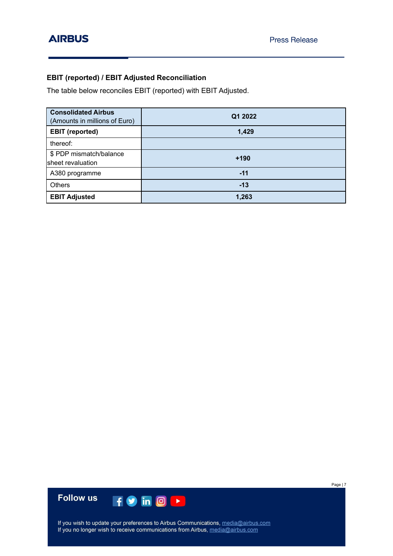## **EBIT (reported) / EBIT Adjusted Reconciliation**

The table below reconciles EBIT (reported) with EBIT Adjusted.

| <b>Consolidated Airbus</b><br>(Amounts in millions of Euro) | Q1 2022 |
|-------------------------------------------------------------|---------|
| <b>EBIT</b> (reported)                                      | 1,429   |
| thereof:                                                    |         |
| \$ PDP mismatch/balance<br>sheet revaluation                | $+190$  |
| A380 programme                                              | $-11$   |
| <b>Others</b>                                               | $-13$   |
| <b>EBIT Adjusted</b>                                        | 1,263   |



If you wish to update your preferences to Airbus Communications, media@airbus.com<br>If you no longer wish to receive communications from Airbus, media@airbus.com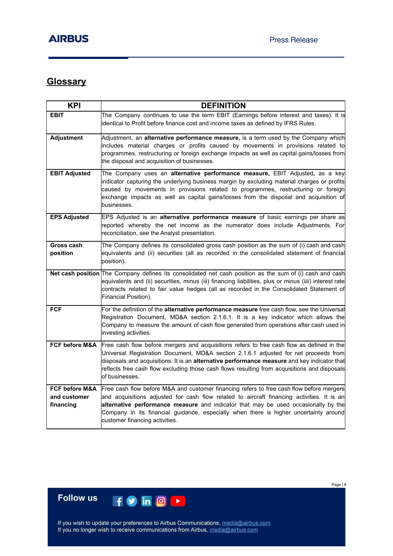# **Glossary**

| <b>KPI</b>                                             | <b>DEFINITION</b>                                                                                                                                                                                                                                                                                                                                                                                       |
|--------------------------------------------------------|---------------------------------------------------------------------------------------------------------------------------------------------------------------------------------------------------------------------------------------------------------------------------------------------------------------------------------------------------------------------------------------------------------|
| <b>EBIT</b>                                            | The Company continues to use the term EBIT (Earnings before interest and taxes). It is<br>identical to Profit before finance cost and income taxes as defined by IFRS Rules.                                                                                                                                                                                                                            |
| <b>Adjustment</b>                                      | Adjustment, an alternative performance measure, is a term used by the Company which<br>includes material charges or profits caused by movements in provisions related to<br>programmes, restructuring or foreign exchange impacts as well as capital gains/losses from<br>the disposal and acquisition of businesses.                                                                                   |
| <b>EBIT Adjusted</b>                                   | The Company uses an alternative performance measure, EBIT Adjusted, as a key<br>indicator capturing the underlying business margin by excluding material charges or profits<br>caused by movements in provisions related to programmes, restructuring or foreign<br>exchange impacts as well as capital gains/losses from the disposal and acquisition of<br>businesses.                                |
| <b>EPS Adjusted</b>                                    | EPS Adjusted is an alternative performance measure of basic earnings per share as<br>reported whereby the net income as the numerator does include Adjustments. For<br>reconciliation, see the Analyst presentation.                                                                                                                                                                                    |
| Gross cash<br>position                                 | The Company defines its consolidated gross cash position as the sum of (i) cash and cash<br>equivalents and (ii) securities (all as recorded in the consolidated statement of financial<br>position).                                                                                                                                                                                                   |
|                                                        | Net cash position The Company defines its consolidated net cash position as the sum of (i) cash and cash<br>equivalents and (ii) securities, minus (iii) financing liabilities, plus or minus (iiii) interest rate<br>contracts related to fair value hedges (all as recorded in the Consolidated Statement of<br>Financial Position).                                                                  |
| <b>FCF</b>                                             | For the definition of the alternative performance measure free cash flow, see the Universal<br>Registration Document, MD&A section 2.1.6.1. It is a key indicator which allows the<br>Company to measure the amount of cash flow generated from operations after cash used in<br>investing activities.                                                                                                  |
| <b>FCF before M&amp;A</b>                              | Free cash flow before mergers and acquisitions refers to free cash flow as defined in the<br>Universal Registration Document, MD&A section 2.1.6.1 adjusted for net proceeds from<br>disposals and acquisitions. It is an alternative performance measure and key indicator that<br>reflects free cash flow excluding those cash flows resulting from acquisitions and disposals<br>of businesses.      |
| <b>FCF before M&amp;A</b><br>and customer<br>financing | Free cash flow before M&A and customer financing refers to free cash flow before mergers<br>and acquisitions adjusted for cash flow related to aircraft financing activities. It is an<br>alternative performance measure and indicator that may be used occasionally by the<br>Company in its financial guidance, especially when there is higher uncertainty around<br>customer financing activities. |

If you wish to update your preferences to Airbus Communications, media@airbus.com<br>If you no longer wish to receive communications from Airbus, media@airbus.com

 $f$  o in  $\circ$   $\bullet$ 

**Follow us**